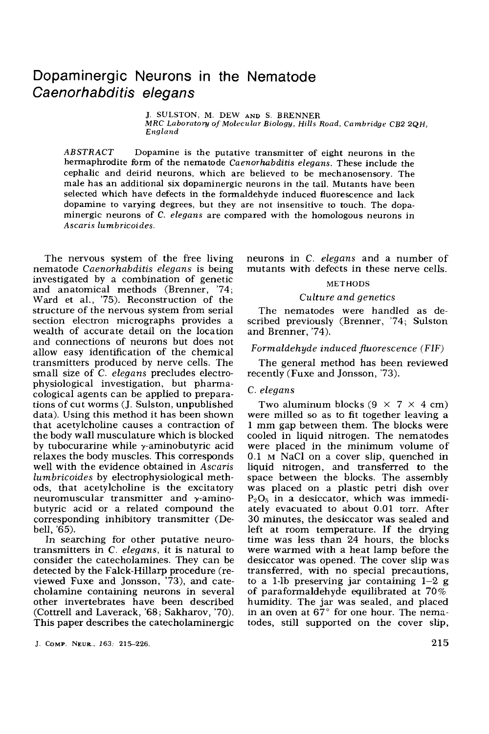# Dopaminergic Neurons in the Nematode *Caenorhabditis elegans*

J. **SULSTON. M.** DEW **AND S.** *BRENNER MRC Luborutory of Moleculur Biology, Hills Road, Cambridge CB2 2QH,*   $E$ *ngland* 

*ABSTRACT* Dopamine is the putative transmitter of eight neurons in the hermaphrodite form of the nematode *Caenorhabditis elegans.* These include the cephalic and deirid neurons, which are believed to be mechanosensory. The male has an additional **six** dopaminergic neurons in the tail. Mutants have been selected which have defects in the formaldehyde induced fluorescence and lack dopamine to varying degrees, but they are not insensitive to touch. The dopaminergic neurons of *C. elegans* are compared with the homologous neurons in *Ascaris lumbricoides.* 

The nervous system of the free living nematode *Caenorhabditis elegans* is being investigated by a combination of genetic and anatomical methods (Brenner, '74; Ward et al., '75). Reconstruction of the structure of the nervous system from serial section electron micrographs provides a wealth of accurate detail on the location and connections of neurons but does not allow easy identification of the chemical transmitters produced by nerve cells. The small size of C. *elegans* precludes electrophysiological investigation, but pharmacological agents can be applied to preparations of cut worms (J. Sulston, unpublished data). Using this method it has been shown that acetylcholine causes a contraction of the body wall musculature which is blocked by tubocurarine while  $\gamma$ -aminobutyric acid relaxes the body muscles. This corresponds well with the evidence obtained in *Ascaris lumbricoides* by electrophysiological methods, that acetylcholine is the excitatory neuromuscular transmitter and  $\gamma$ -aminobutyric acid or a related compound the corresponding inhibitory transmitter (Debell, '65).

In searching for other putative neurotransmitters in C. *elegans,* it is natural to consider the catecholamines. They can be detected by the Falck-Hillarp procedure (reviewed Fuxe and Jonsson, '73), and catecholamine containing neurons in several other invertebrates have been described (Cottrell and Laverack, '68; Sakharov, '70). This paper describes the catecholaminergic neurons in C. *elegans* and a number of mutants with defects in these nerve cells.

## METHODS

### *Culture and genetics*

The nematodes were handled as described previously (Brenner, '74; Sulston and Brenner, '74).

*Formaldehyde induced fluorescence (FIF)* 

The general method has been reviewed recently (Fuxe and Jonsson, '73).

# C. *elegans*

Two aluminum blocks  $(9 \times 7 \times 4 \text{ cm})$ were milled so as to fit together leaving a **1** mm gap between them. The blocks were cooled in liquid nitrogen. The nematodes were placed in the minimum volume of 0.1 **M** NaCl on a cover slip, quenched in liquid nitrogen, and transferred to the space between the blocks. The assembly was placed on a plastic petri dish over  $P_2O_5$  in a desiccator, which was immediately evacuated to about 0.01 torr. After 30 minutes, the desiccator was sealed and left at room temperature. If the drying time was less than 24 hours, the blocks were warmed with a heat lamp before the desiccator was opened. The cover slip was transferred, with no special precautions, to a 1-lb preserving jar containing  $1-2$  g of paraformaldehyde equilibrated at 70% humidity. The jar was sealed, and placed in an oven at  $67^{\circ}$  for one hour. The nematodes, still supported on the cover slip,

J. **COMP. NEUR.,** *163:* **215-226.**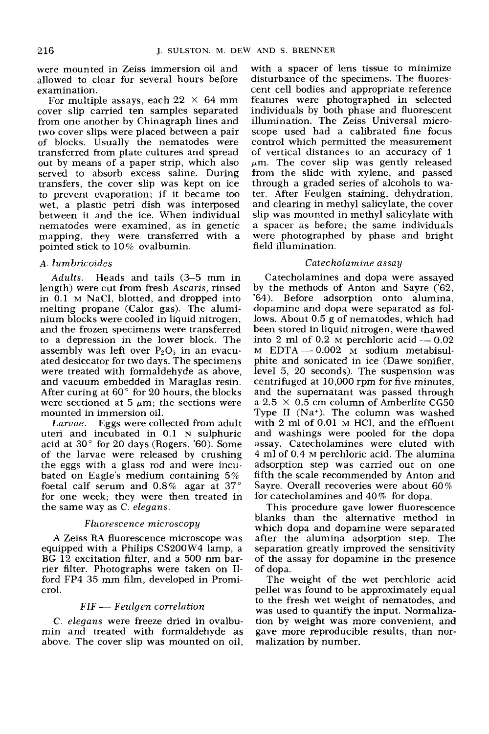were mounted in Zeiss immersion oil and allowed to clear for several hours before examination.

For multiple assays, each  $22 \times 64$  mm cover slip carried ten samples separated from one another by Chinagraph lines and two cover slips were placed between a pair of blocks. Usually the nematodes were transferred from plate cultures and spread out by means of a paper strip, which also served to absorb excess saline. During transfers, the cover slip was kept on ice to prevent evaporation; if it became too wet, a plastic petri dish was interposed between it and the ice. When individual nematodes were examined, as in genetic mapping, they were transferred with a pointed stick to 10% ovalbumin.

# **A.** *lumbricoides*

*Adults.* Heads and tails (3-5 mm in length) were cut from fresh *Ascaris,* rinsed in 0.1 M NaCl, blotted, and dropped into melting propane (Calor gas). The aluminium blocks were cooled in liquid nitrogen, and the frozen specimens were transferred to a depression in the lower block. The assembly was left over  $P_2O_5$  in an evacuated desiccator for two days. The specimens were treated with formaldehyde as above, and vacuum embedded in Maraglas resin. After curing at *60"* for 20 hours, the blocks were sectioned at 5  $\mu$ m; the sections were mounted in immersion oil.

Eggs were collected from adult uteri and incubated in **0.1** N sulphuric acid at 30" for 20 days (Rogers, '60). Some of the larvae were released by crushing the eggs with a glass rod and were incubated on Eagle's medium containing 5% foetal calf serum and  $0.8\%$  agar at 37 $^{\circ}$ for one week; they were then treated in the same way as C. *elegans. Larvae.* 

## *Fluorescence microscopy*

A Zeiss RA fluorescence microscope was equipped with a Philips CS2OOW4 lamp, a BG 12 excitation filter, and a 500 nm barrier filter. Photographs were taken on 11 ford FP4 35 mm film, developed in Promicrol.<br> *FIF — Feulgen correlation* crol.

*C. elegans* were freeze dried in ovalbumin and treated with formaldehyde as above. The cover slip was mounted on oil,

with a spacer of lens tissue to minimize disturbance of the specimens. The fluorescent cell bodies and appropriate reference features were photographed in selected individuals by both phase and fluorescent illumination. The Zeiss Universal microscope used had a calibrated fine focus control which permitted the measurement of vertical distances to an accuracy of 1  $\mu$ m. The cover slip was gently released from the slide with xylene, and passed through a graded series of alcohols to water. After Feulgen staining, dehydration, and clearing in methyl salicylate, the cover slip was mounted in methyl salicylate with a spacer as before; the same individuals were photographed by phase and bright field illumination.

# *Catecholamine assay*

Catecholamines and dopa were assayed by the methods of Anton and Sayre ('62, '64). Before adsorption onto alumina, dopamine and dopa were separated as follows. About 0.5 g of nematodes, which had<br>been stored in liquid nitrogen, were thawed<br>into 2 ml of 0.2 M perchloric acid — 0.002<br>M  $_{\rm M}$  5.02 M perchloric acid — 0.02 been stored in liquid nitrogen, were thawed  $M$  EDTA  $-0.002$  M sodium metabisulphite and sonicated in ice (Dawe sonifier, level 5, 20 seconds). The suspension was centrifuged at 10,000 rpm for five minutes, and the supernatant was passed through a 2.5  $\times$  0.5 cm column of Amberlite CG50 Type **I1** (Na'). The column was washed with 2 ml of 0.01 **M** HC1, and the effluent and washings were pooled for the dopa assay. Catecholamines were eluted with 4 ml of 0.4 M perchloric acid. The alumina adsorption step was carried out on one fifth the scale recommended by Anton and Sayre. Overall recoveries were about 60% for catecholamines and 40% for dopa.

This procedure gave lower fluorescence blanks than the alternative method in which dopa and dopamine were separated after the alumina adsorption step. The separation greatly improved the sensitivity of the assay for dopamine in the presence of dopa.

The weight of the wet perchloric acid pellet was found to be approximately equal to the fresh wet weight of nematodes, and was used to quantify the input. Normalization by weight was more convenient, and gave more reproducible results, than normalization by number.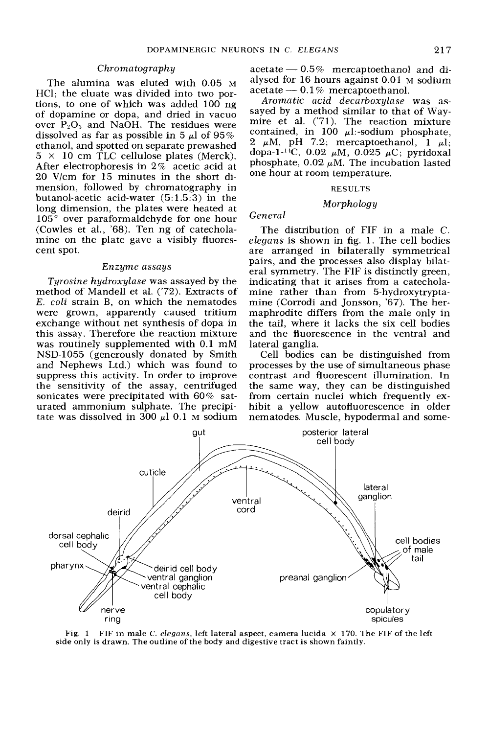# *Chroma tograph y*

The alumina was eluted with 0.05 **M**  HC1; the eluate was divided into two portions, to one of which was added 100 ng of dopamine or dopa, and dried in vacuo over  $P_2O_5$  and NaOH. The residues were dissolved as far as possible in 5  $\mu$ l of 95% ethanol, and spotted on separate prewashed  $5 \times 10$  cm TLC cellulose plates (Merck). After electrophoresis in 2% acetic acid at 20 V/cm for 15 minutes in the short dimension, followed by chromatography in butanol-acetic acid-water (5:1.5:3) in the long dimension, the plates were heated at  $105^{\circ}$  over paraformaldehyde for one hour (Cowles et al., **'68).** Ten ng of catecholamine on the plate gave a visibly fluorescent spot.

#### *Enzyme assays*

*Tyrosine hydroxylase* was assayed by the method of Mandell et al. ('72). Extracts of *E. coli* strain B, on which the nematodes were grown, apparently caused tritium exchange without net synthesis of dopa in this assay. Therefore the reaction mixture was routinely supplemented with 0.1 mM NSD-1055 (generously donated by Smith and Nephews Ltd.) which was found to suppress this activity. In order to improve the sensitivity of the assay, centrifuged sonicates were precipitated with 60% saturated ammonium sulphate. The precipitate was dissolved in 300  $\mu$ l 0.1 M sodium

Sommatrice ELEGANS and  $\frac{217}{x}$ <br>acetate - 0.5% mercaptoethanol and di-<br>alveed for 16 hours against 0.01 M sodium alysed for 16 hours against 0.01 **M** sodium  $\begin{array}{l} \text{acetate} \text{---} \text{ 0.5\%} \text{~mercaptoethanol} \\ \text{alysed for 16 hours against 0.01 M} \\ \text{acetate} \text{---} \text{ 0.1\%} \text{~mercaptoethanol} \\ \text{Aromatic acid decarhowlase} \end{array}$ 

*Aromatic acid decarboxylase* was assayed by a method similar to that of Waymire et **al.** ('71). The reaction mixture contained, in 100  $\mu$ 1:-sodium phosphate,  $2 \mu M$ , pH 7.2; mercaptoethanol, 1  $\mu l$ ; dopa-1-<sup>14</sup>C, 0.02  $\mu$ M, 0.025  $\mu$ C; pyridoxal phosphate,  $0.02 \mu M$ . The incubation lasted one hour at room temperature.

# **RESULTS**

# *Morphology*

# *General*

The distribution of FIF in a male C. *elegans* is shown in fig. 1. The cell bodies are arranged in bilaterally symmetrical pairs, and the processes also display bilateral symmetry. The FIF is distinctly green, indicating that it arises from a catecholamine rather than from 5-hydroxytryptamine (Corrodi and Jonsson, '67). The hermaphrodite differs from the male only in the tail, where it lacks the six cell bodies and the fluorescence in the ventral and lateral ganglia.

Cell bodies can be distinguished from processes by the use of simultaneous phase contrast and fluorescent illumination. In the same way, they can be distinguished from certain nuclei which frequently exhibit a yellow autofluorescence in older nematodes. Muscle, hypodermal and some-



**Fig. 1 FIF in male** *C. elegans,* **left lateral aspect, camera lucida** x **170. The FIF of the left side only is drawn. The outline of the body and digestive tract is shown faintly.**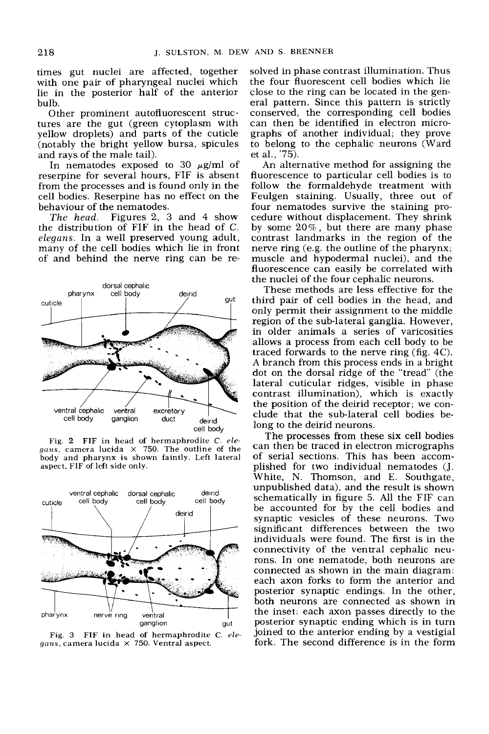times gut nuclei are affected, together with one pair of pharyngeal nuclei which lie in the posterior half of the anterior bulb.

Other prominent autofluorescent structures are the gut (green cytoplasm with yellow droplets) and parts of the cuticle (notably the bright yellow bursa, spicules and rays of the male tail).

In nematodes exposed to 30  $\mu$ g/ml of reserpine for several hours, FIF is absent from the processes and is found only in the cell bodies. Reserpine has no effect on the behaviour of the nematodes.

*The head.* Figures *2, 3* and 4 show the distribution of FIF in the head of C. *elegans.* In a well preserved young adult, many of the cell bodies which lie in front of and behind the nerve ring can be re-



Fig. *2* **FIF** in head **of** hermaphrodite C. *elegnus,* camera lucida X 750. The outline of the body and pharynx is shown faintly. Left lateral aspect, FIF of left side only.



Fig. **3 FIF** in head **of** hermaphrodite C. *elegans,* camera lucida X 750. Ventral aspect.

solved in phase contrast illumination. Thus the four fluorescent cell bodies which lie close to the ring can be located in the general pattern. Since this pattern is strictly conserved, the corresponding cell bodies can then be identified in electron micrographs of another individual; they prove to belong to the cephalic neurons (Ward et al., '75).

An alternative method for assigning the fluorescence to particular cell bodies is to follow the formaldehyde treatment with Feulgen staining. Usually, three out of four nematodes survive the staining procedure without displacement. They shrink by some *20%,* but there are many phase contrast landmarks in the region of the nerve ring (e.g. the outline of the pharynx; muscle and hypodermal nuclei), and the fluorescence can easily be correlated with the nuclei of the four cephalic neurons.

These methods are less effective for the third pair of cell bodies in the head, and only permit their assignment to the middle region of the sub-lateral ganglia. However, in older animals a series of varicosities allows a process from each cell body to be traced forwards to the nerve ring (fig. 4C). **A** branch from this process ends in a bright dot on the dorsal ridge of the "tread' (the lateral cuticular ridges, visible in phase contrast illumination), which is exactly the position of the deirid receptor; we conclude that the sub-lateral cell bodies belong to the deirid neurons.

The processes from these six cell bodies can then be traced in electron micrographs of serial sections. This has been accomplished for two individual nematodes (J. White, N. Thomson, and E. Southgate, unpublished data), and the result is shown schematically in figure 5. All the FIF can be accounted for by the cell bodies and synaptic vesicles of these neurons. Two significant differences between the two individuals were found. The first is in the connectivity of the ventral cephalic neurons. In one nematode, both neurons are connected as shown in the main diagram: each axon forks to form the anterior and posterior synaptic endings. In the other, both neurons are connected as shown in the inset: each axon passes directly to the posterior synaptic ending which is in turn joined to the anterior ending by a vestigial fork. The second difference is in the form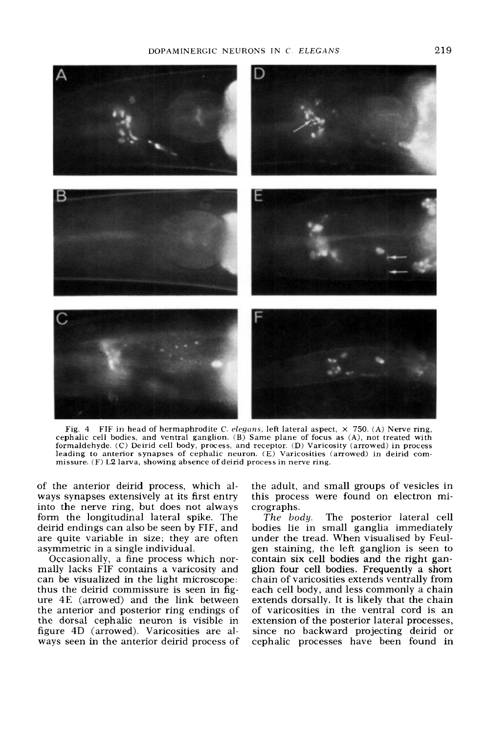# DOPAMINERGIC NEURONS IN C *ELEGANS* 219



Fig. 4 FIF in head of hermaphrodite C. *elegans*, left lateral aspect,  $\times$  750. (A) Nerve ring, cephalic cell bodies, and ventral ganglion. (B) Same plane of focus **as (A),** not treated with formaldehyde. (C) Deirid cell **body,** process, and receptor. (D) Varicosity (arrowed) in process leading to anterior synapses of cephalic neuron. (E) Varicosities (arrowed) in deirid commissure. **(F) L2** larva, showing absence of deirid process in nerve ring.

of the anterior deirid process, which always synapses extensively at its first entry into the nerve ring, but does not always form the longitudinal lateral spike. The deirid endings can also be seen by FIF, and are quite variable in size; they are often asymmetric in a single individual.

Occasionally, a fine process which normally lacks FIF contains a varicosity and can be visualized in the light microscope: thus the deirid commissure is seen in figure 4E (arrowed) and the link between the anterior and posterior ring endings of the dorsal cephalic neuron is visible in figure 4D (arrowed). Varicosities are always seen in the anterior deirid process of the adult, and small groups of vesicles in this process were found on electron micrographs.<br>The body.

The posterior lateral cell bodies lie in small ganglia immediately under the tread. When visualised by Feulgen staining, the left ganglion is seen to contain six cell bodies and the right ganglion four cell bodies. Frequently a short chain of varicosities extends ventrally from each cell body, and less commonly a chain extends dorsally. It is likely that the chain of varicosities in the ventral cord is an extension of the posterior lateral processes, since no backward projecting deirid or cephalic processes have been found in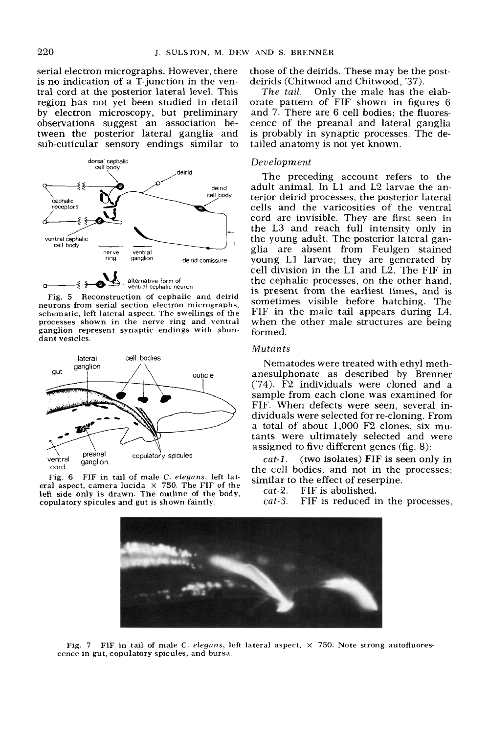serial electron micrographs. However, there is no indication of a T-junction in the ventral cord at the posterior lateral level. This region has not yet been studied in detail by electron microscopy, but preliminary observations suggest an association between the posterior lateral ganglia and sub-cuticular sensory endings similar to



Fig. 5 Reconstruction of cephalic and deirid neurons from serial section electron micrographs, schematic, left lateral aspect. The swellings of the processes shown in the nerve ring and ventral ganglion represent synaptic endings with abundant vesicles.



Fig. 6 FIF in tail of male C. elegans, left lateral aspect, camera lucida  $\times$  750. The FIF of the left side only is drawn. The outline **of** the body, copulatory spicules and gut is shown faintly.

those of the deirids. These may be the postdeirids (Chitwood and Chitwood, '37).

Only the male has the elaborate pattern of FIF shown in figures 6 and 7. There are 6 cell bodies; the fluorescence of the preanal and lateral ganglia is probably in synaptic processes. The detailed anatomy is not yet known. The tail.

# *Deu e lopm ent*

The preceding account refers to the adult animal. In L1 and L2 larvae the anterior deirid processes, the posterior lateral cells and the varicosities of the ventral cord are invisible. They are first seen in the L3 and reach full intensity only in the young adult. The posterior lateral ganglia are absent from Feulgen stained young L1 larvae; they are generated by cell division in the L1 and L2. The FIF in the cephalic processes, on the other hand, is present from the earliest times, and is sometimes visible before hatching. The FIF in the male tail appears during L4, when the other male structures are being formed.

# Mutants

Nematodes were treated with ethyl methanesulphonate as described by Brenner ('74). F2 individuals were cloned and a sample from each clone was examined for FIF. When defects were seen, several individuals were selected for re-cloning. From a total of about 1,000 F2 clones, six mutants were ultimately selected and were assigned to five different genes (fig. 8):

(two isolates) FIF is seen **only** in the cell bodies, and not in the processes; similar to the effect of reserpine. *cat-l.* 

cat-2. FIF is abolished.

cat-3. FIF is reduced in the processes,



Fig. 7 FIF in tail of male C. *elegans*, left lateral aspect,  $\times$  750. Note strong autofluorescence in gut, copulatory spicules, and bursa.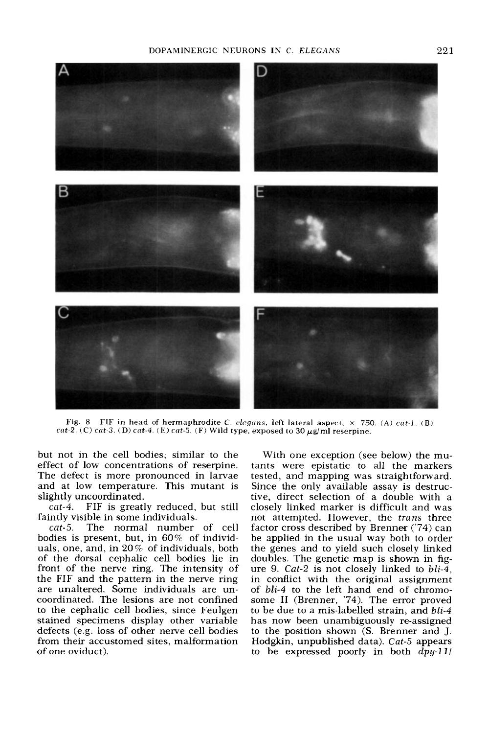# DOPAMINERGIC NEURONS IN C. *ELEGANS 22* **1**



Fig. 8 FIF in head of hermaphrodite C. *elegans*, left lateral aspect,  $\times$  750. (A) *cat-1*. (B)  $cat-2.$  (C)  $cat-3.$  (D)  $cat-4.$  (E)  $cat-5.$  (F) Wild type, exposed to  $30 \mu g/ml$  reserpine.

but not in the cell bodies; similar to the effect of low concentrations of reserpine. The defect is more pronounced in larvae and at low temperature. This mutant is slightly uncoordinated.

*cat-4.* FIF is greatly reduced, but still faintly visible in some individuals.

*cat-5.* The normal number of cell bodies is present, but, in 60% of individuals, one, and, in 20% of individuals, both of the dorsal cephalic cell bodies lie in front of the nerve ring. The intensity of the FIF and the pattern in the nerve ring are unaltered. Some individuals are uncoordinated. The lesions are not confined to the cephalic cell bodies, since Feulgen stained specimens display other variable defects (e.g. loss of other nerve cell bodies from their accustomed sites, malformation of one oviduct).

With one exception (see below) the mutants were epistatic to all the markers tested, and mapping was straightforward. Since the only available assay is destructive, direct selection of a double with a closely linked marker is difficult and was not attempted. However, the *trans* three factor cross described by Brenner ('74) can be applied in the usual way both to order the genes and to yield such closely linked doubles. The genetic map is shown in figure 9. *Cat-2* is not closely linked to *bli-4,*  in conflict with the original assignment of *bli-4* to the left hand end of chromosome I1 (Brenner, '74). The error proved to be due to a mis-labelled strain, and *bli-4*  has now been unambiguously re-assigned to the position shown **(S.** Brenner and J. Hodgkin, unpublished data). *Cat-5* appears to be expressed poorly in both *dpy-Ill*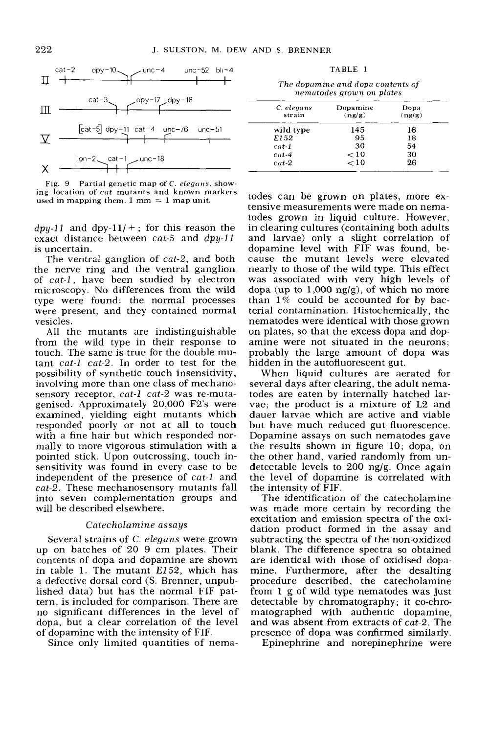

Fig. 9 Partial genetic map of C. *elegans*, showing location of *cut* mutants and known markers used in mapping them.  $1 \text{ mm} = 1 \text{ map unit.}$ 

 $dp_{\textit{V}}-11$  and dpy-11/ +; for this reason the exact distance between *cat-5* and dpy-11 is uncertain.

The ventral ganglion of *cat-2,* and both the nerve ring and the ventral ganglion of *cat-1,* have been studied by electron microscopy. No differences from the wild type were found: the normal processes were present, and they contained normal vesicles.

All the mutants are indistinguishable from the wild type in their response to touch. The same is true for the double mutant *cat-1 cat-2.* In order to test for the possibility of synthetic touch insensitivity, involving more than one class of mechanosensory receptor, *cat-1 cat-2* was re-mutagenised. Approximately 20,000 F2's were examined, yielding eight mutants which responded poorly or not at all to touch with a fine hair but which responded normally to more vigorous stimulation with a pointed stick. Upon outcrossing, touch insensitivity was found in every case to be independent of the presence of *cat-1* and *cat-2.* These mechanosensory mutants fall into seven complementation groups and will be described elsewhere.

# *Catecholamine assays*

Several strains of C. *elegans* were grown up on batches of 20 9 cm plates. Their contents of dopa and dopamine are shown in table 1. The mutant *E152,* which has a defective dorsal cord (S. Brenner, unpublished data) but has the normal FlF pattern, is included for comparison. There are no significant differences in the level of dopa, but a clear correlation of the level of dopamine with the intensity of FIF.

Since only limited quantities of nema-

TABLE I

*The dopctmine and ciopct contents of*   $n$ *ematodes grown on plates* 

| C. elegans<br>strain | Dopamine<br>(ng/g) | Dopa<br>(ng/g) |
|----------------------|--------------------|----------------|
| wild type            | 145                | 16             |
| E152                 | 95                 | 18             |
| $cat-1$              | 30                 | 54             |
| $cat-4$              | < 10               | 30             |
| $cut-2$              | < 10               | 26             |

todes can be grown on plates, more extensive measurements were made on nematodes grown in liquid culture. However, in clearing cultures (containing both adults and larvae) only a slight correlation of dopamine level with EIF was found, because the mutant levels were elevated nearly to those of the wild type. This effect was associated with very high levels of dopa (up to  $1,000 \text{ ng/g}$ ), of which no more than  $1\%$  could be accounted for by bacterial contamination. Histochemically, the nematodes were identical with those grown on plates, so that the excess dopa and dopamine were not situated in the neurons; probably the large amount of dopa was hidden in the autofluorescent gut.

When liquid cultures are aerated for several days after clearing, the adult nematodes are eaten by internally hatched larvae; the product is a mixture of L2 and dauer larvae which are active and viable but have much reduced gut fluorescence. Dopamine assays on such nematodes gave the results shown in figure 10; dopa, on the other hand, varied randomly from undetectable levels to 200 ng/g. Once again the level of dopamine is correlated with the intensity of FIF.

The identification of the catecholamine was made more certain by recording the excitation and emission spectra of the oxidation product formed in the assay and subtracting the spectra of the non-oxidized blank. The difference spectra so obtained are identical with those of oxidised dopamine. Furthermore, after the desalting procedure described, the catecholamine from 1 g of wild type nematodes was just detectable by chromatography; it co-chromatographed with authentic dopamine, and was absent from extracts of *cat-2.* The presence of dopa was confirmed similarly.

Epinephrine and norepinephrine were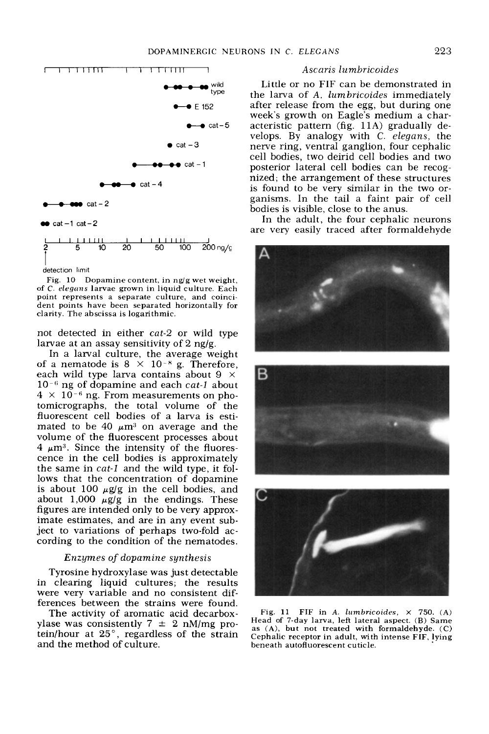

detection limit

Fig. 10 Dopamine content, in ng/g wet weight, of *C. elegans* larvae grown in liquid culture. Each point represents a separate culture, and coincident points have been separated horizontally **for**  clarity. The abscissa is logarithmic.

not detected in either *cut-2* or wild type larvae at an assay sensitivity of 2 ng/g.

In a larval culture, the average weight of a nematode is  $8 \times 10^{-8}$  g. Therefore, each wild type larva contains about  $9 \times$ lo-'; ng of dopamine and each *cat-l* about  $4 \times 10^{-6}$  ng. From measurements on photomicrographs, the total volume of the fluorescent cell bodies of a larva is estimated to be 40  $\mu$ m<sup>3</sup> on average and the volume of the fluorescent processes about  $4 \mu m^3$ . Since the intensity of the fluorescence in the cell bodies is approximately the same in *cat-l* and the wild type, it follows that the concentration of dopamine is about 100  $\mu$ g/g in the cell bodies, and about  $1,000 \mu\text{g/g}$  in the endings. These figures are intended only to be very approximate estimates, and are in any event subject to variations of perhaps two-fold according to the condition of the nematodes.

# *Enzymes* of *dopamine synthesis*

Tyrosine hydroxylase was just detectable in clearing liquid cultures; the results were very variable and no consistent differences between the strains were found.

The activity of aromatic acid decarboxylase was consistently  $7 \pm 2$  nM/mg protein/hour at *25",* regardless of the strain and the method of culture.

# *Ascaris lumbricoides*

Little or no FIF can be demonstrated in the larva of A. *lumbricoides* immediately after release from the egg, but during one week's growth on Eagle's medium a characteristic pattern (fig. **11A)** gradually develops. By analogy with C. *elegans,* the nerve ring, ventral ganglion, four cephalic cell bodies, two deirid cell bodies and two posterior lateral cell bodies can be recognized; the arrangement of these structures is found to be very similar in the two organisms. In the tail a faint pair of cell bodies is visible, close to the anus.

In the adult, the four cephalic neurons are very easily traced after formaldehyde







Fig. 11 FIF in A. *lumbricoides,* X 750. **(A)**  Head of 7-day larva, left lateral aspect. **(B)** Same as **(A),** but not treated with formaldehyde. **(C)**  Cephalic receptor **in** adult, with intense FIF, !ying beneath autofluorescent cuticle.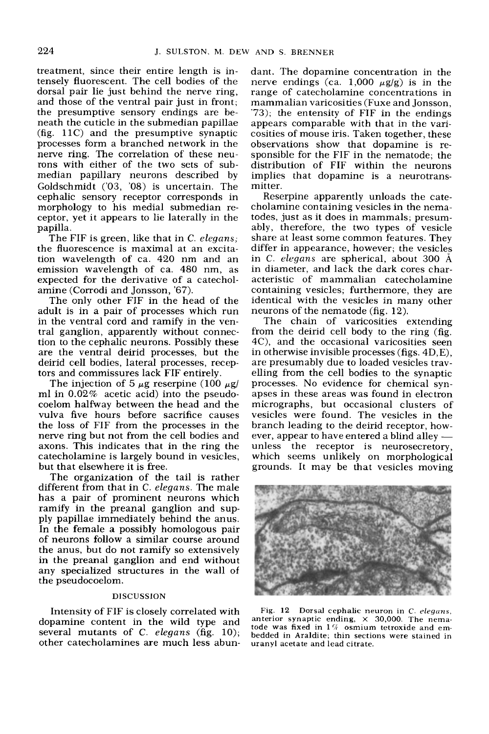treatment, since their entire length is intensely fluorescent. The cell bodies of the dorsal pair lie just behind the nerve ring, and those of the ventral pair just in front; the presumptive sensory endings are beneath the cuticle in the submedian papillae (fig. **1lC)** and the presumptive synaptic processes form a branched network in the nerve ring. The correlation of these neurons with either of the two sets of submedian papillary neurons described by Goldschmidt ('03, '08) is uncertain. The cephalic sensory receptor corresponds in morphology to his medial submedian receptor, yet it appears to lie laterally in the papilla.

The FIF is green, like that in C. *elegans;*  the fluorescence is maximal at an excitation wavelength of ca. **420** nm and an emission wavelength of ca. 480 nm, as expected for the derivative of a catecholamine (Corrodi and Jonsson, '67).

The only other FIF in the head of the adult is in a pair of processes which run in the ventral cord and ramify in the ventral ganglion, apparently without connection to the cephalic neurons. Possibly these are the ventral deirid processes, but the deirid cell bodies, lateral processes, receptors and commissures lack FIF entirely.

The injection of 5  $\mu$ g reserpine (100  $\mu$ g/ ml in **0.02%** acetic acid) into the pseudocoelom halfway between the head and the vulva five hours before sacrifice causes the loss of FIF from the processes in the nerve ring but not from the cell bodies and axons. This indicates that in the ring the catecholamine is largely bound in vesicles, but that elsewhere it is free.

The organization of the tail is rather different from that in C. *elegans.* The male has a pair of prominent neurons which ramify in the preanal ganglion and supply papillae immediately behind the anus. In the female a possibly homologous pair of neurons follow a similar course around the anus, but do not ramify so extensively in the preanal ganglion and end without any specialized structures in the wall of the pseudocoelom.

#### **DISCUSSION**

Intensity of FIF is closely correlated with dopamine content in the wild type and several mutants of **C.** *elegans* (fig. 10); other catecholamines are much less abundant. The dopamine concentration in the nerve endings (ca.  $1,000 \mu g/g$ ) is in the range of catecholamine concentrations in mammalian varicosities (Fuxe and Jonsson, *'73);* the entensity of FIF in the endings appears comparable with that in the varicosities of mouse iris. Taken together, these observations show that dopamine is responsible for the FIF in the nematode; the distribution of FIF within the neurons implies that dopamine is a neurotransmitter.

Reserpine apparently unloads the catecholamine containing vesicles in the nematodes, just as it does in mammals; presumably, therefore, the two types of vesicle share at least some common features. They differ in appearance, however; the vesicles in C. *elegans* are spherical, about 300 **A**  in diameter, and lack the dark cores characteristic of mammalian catecholamine containing vesicles; furthermore, they are identical with the vesicles in many other neurons of the nematode (fig. **12).** 

The chain of varicosities extending from the deirid cell body to the ring (fig. **4C), and** the occasional varicosities seen in otherwise invisible processes (figs. 4D,E), are presumably due to loaded vesicles travelling from the cell bodies to the synaptic processes. No evidence for chemical synapses in these areas was found in electron micrographs, but occasional clusters of wesicles were found. The vesicles in the<br>vesicles were found. The vesicles in the<br>branch leading to the deirid receptor, how-<br>ever, appear to have entered a blind alley branch leading to the deirid receptor, howunless the receptor is neurosecretory, which seems unlikely on morphological grounds. It may be that vesicles moving



Fig. 12 Dorsal cephalic neuron in *C. elegans*, **anterior synaptic ending,** X **30,000. The nematode was fixed in 1% osmium tetroxide and embedded in Araldite; thin sections were stained in uranyl acetate and lead citrate.**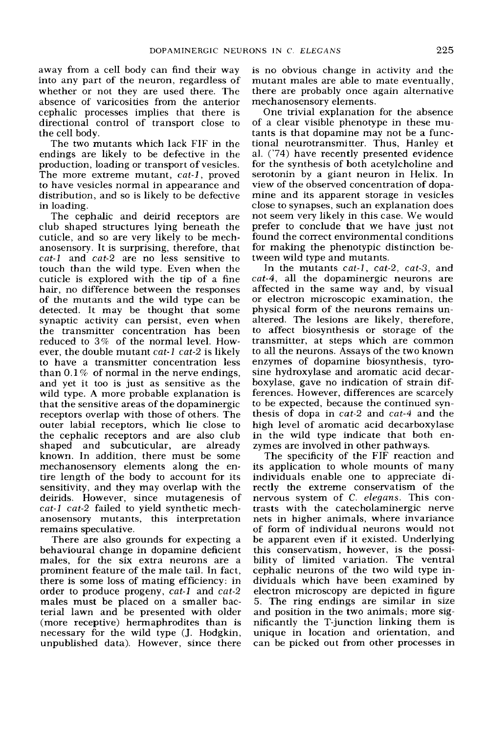away from a cell body can find their way into any part of the neuron, regardless of whether or not they are used there. The absence of' varicosities from the anterior cephalic processes implies that there is directional control of transport close to the cell body.

The two mutants which lack FIF in the endings are likely to be defective in the production, loading or transport of vesicles. The more extreme mutant, *cut-1,* proved to have vesicles normal in appearance and distribution, and so is likely to be defective in loading.

The cephalic and deirid receptors are club shaped structures lying beneath the cuticle, and so are very likely to be mechanosensory. It is surprising, therefore, that *cut-1* and *cut-2* are no less sensitive to touch than the wild type. Even when the cuticle is explored with the tip of a fine hair, no difference between the responses of the mutants and the wild type can be detected. It may be thought that some synaptic activity can persist, even when the transmitter concentration has been reduced to *3%* of the normal level. However, the double mutant *cat-1 cat-2* is likely to have a transmitter concentration less than 0.1 *7%* of normal in the nerve endings, and yet it too is just as sensitive as the wild type. **A** more probable explanation is that the sensitive areas of the dopaminergic receptors overlap with those of others. The outer labial receptors, which lie close to the cephalic receptors and are also club shaped and subcuticular, are already known. In addition, there must be some mechanosensory elements along the entire length of the body to account for its sensitivity, and they may overlap with the deirids. However, since mutagenesis of *cut-1 cut-2* failed to yield synthetic mechanosensory mutants, this interpretation remains speculative.

There are also grounds for expecting a behavioural change in dopamine deficient males, for the six extra neurons are a prominent feature of the male tail. In fact, there **is** some loss of mating efficiency: in order to produce progeny, *cut-1* and *cut-2*  males must be placed on a smaller bacterial lawn and be presented with older (more receptive) hermaphrodites than is necessary for the wild type (J. Hodgkin, unpublished data). However, since there

is no obvious change in activity and the mutant males are able to mate eventually, there are probably once again alternative mechanosensory elements.

One trivial explanation for the absence of a clear visible phenotype in these mutants is that dopamine may not be a functional neurotransmitter. Thus, Hanley et al. ('74) have recently presented evidence for the synthesis of both acetylcholine and serotonin by a giant neuron in Helix. In view of the observed concentration of dopamine and its apparent storage in vesicles close to synapses, such an explanation does not seem very likely in this case. We would prefer to conclude that we have just not found the correct environmental conditions for making the phenotypic distinction between wild type and mutants.

In the mutants *cut-1, cut-2, cut-3,* and *cut-4,* all the dopaminergic neurons are affected in the same way and, by visual or electron microscopic examination, the physical form of the neurons remains unaltered. The lesions are likely, therefore, to affect biosynthesis or storage of the transmitter, at steps which are common to all the neurons. Assays of the two known enzymes of dopamine biosynthesis, tyrosine hydroxylase and aromatic acid decarboxylase, gave no indication of strain differences. However, differences are scarcely to be expected, because the continued synthesis of dopa in *cut-2* and *cut-4* and the high level of aromatic acid decarboxylase in the wild type indicate that both enzymes are involved in other pathways.

The specificity of the FIF reaction and its application to whole mounts of many individuals enable one to appreciate directly the extreme conservatism of the nervous system of C. *eleguns.* This contrasts with the catecholaminergic nerve nets in higher animals, where invariance of form of individual neurons would not be apparent even if it existed. Underlying this conservatism, however, is the possibility of limited variation. The ventral cephalic neurons of the two wild type individuals which have been examined by electron microscopy are depicted in figure 5. The ring endings are similar in size and position in the two animals; more significantly the T-junction linking them is unique in location and orientation, and can be picked out from other processes in